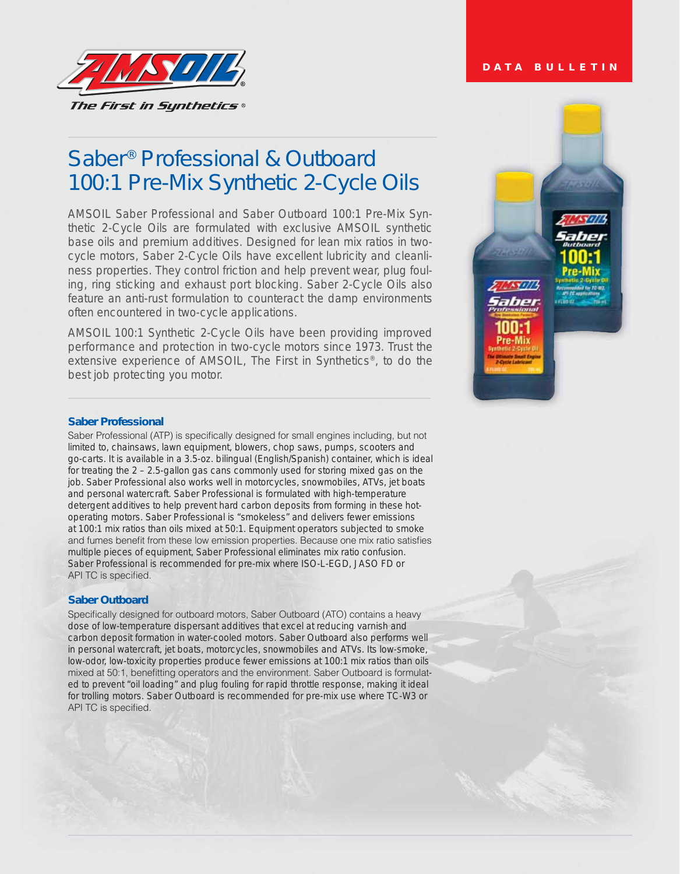

# Saber® Professional & Outboard 100:1 Pre-Mix Synthetic 2-Cycle Oils

AMSOIL Saber Professional and Saber Outboard 100:1 Pre-Mix Synthetic 2-Cycle Oils are formulated with exclusive AMSOIL synthetic base oils and premium additives. Designed for lean mix ratios in twocycle motors, Saber 2-Cycle Oils have excellent lubricity and cleanliness properties. They control friction and help prevent wear, plug fouling, ring sticking and exhaust port blocking. Saber 2-Cycle Oils also feature an anti-rust formulation to counteract the damp environments often encountered in two-cycle applications.

*AMSOIL 100:1 Synthetic 2-Cycle Oils have been providing improved performance and protection in two-cycle motors since 1973. Trust the extensive experience of AMSOIL, The First in Synthetics®, to do the best job protecting you motor.*

#### **Saber Professional**

Saber Professional (ATP) is specifically designed for small engines including, but not limited to, chainsaws, lawn equipment, blowers, chop saws, pumps, scooters and go-carts. It is available in a 3.5-oz. bilingual (English/Spanish) container, which is ideal for treating the 2 – 2.5-gallon gas cans commonly used for storing mixed gas on the job. Saber Professional also works well in motorcycles, snowmobiles, ATVs, jet boats and personal watercraft. Saber Professional is formulated with high-temperature detergent additives to help prevent hard carbon deposits from forming in these hotoperating motors. Saber Professional is "smokeless" and delivers fewer emissions at 100:1 mix ratios than oils mixed at 50:1. Equipment operators subjected to smoke and fumes benefit from these low emission properties. Because one mix ratio satisfies multiple pieces of equipment, Saber Professional eliminates mix ratio confusion. Saber Professional is recommended for pre-mix where ISO-L-EGD, JASO FD or API TC is specified.

#### **Saber Outboard**

Specifically designed for outboard motors, Saber Outboard (ATO) contains a heavy dose of low-temperature dispersant additives that excel at reducing varnish and carbon deposit formation in water-cooled motors. Saber Outboard also performs well in personal watercraft, jet boats, motorcycles, snowmobiles and ATVs. Its low-smoke, low-odor, low-toxicity properties produce fewer emissions at 100:1 mix ratios than oils mixed at 50:1, benefitting operators and the environment. Saber Outboard is formulated to prevent "oil loading" and plug fouling for rapid throttle response, making it ideal for trolling motors. Saber Outboard is recommended for pre-mix use where TC-W3 or API TC is specified.



#### **DATA BULLETIN**